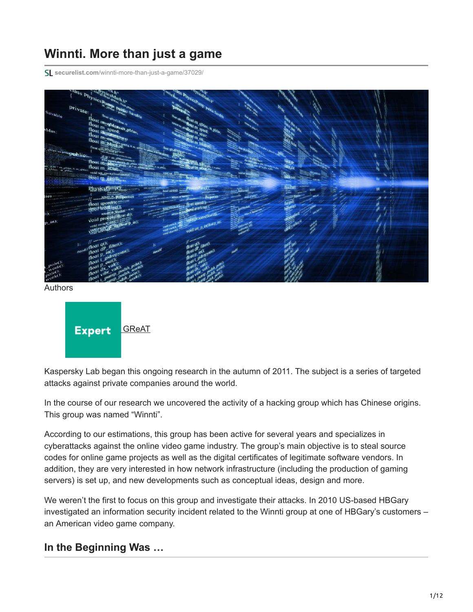# **Winnti. More than just a game**

**securelist.com**[/winnti-more-than-just-a-game/37029/](https://securelist.com/winnti-more-than-just-a-game/37029/)



Authors



Kaspersky Lab began this ongoing research in the autumn of 2011. The subject is a series of targeted attacks against private companies around the world.

In the course of our research we uncovered the activity of a hacking group which has Chinese origins. This group was named "Winnti".

According to our estimations, this group has been active for several years and specializes in cyberattacks against the online video game industry. The group's main objective is to steal source codes for online game projects as well as the digital certificates of legitimate software vendors. In addition, they are very interested in how network infrastructure (including the production of gaming servers) is set up, and new developments such as conceptual ideas, design and more.

We weren't the first to focus on this group and investigate their attacks. In 2010 US-based HBGary investigated an information security incident related to the Winnti group at one of HBGary's customers – an American video game company.

### **In the Beginning Was …**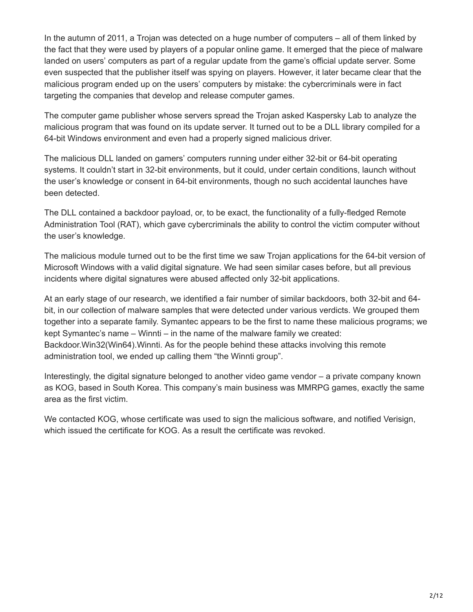In the autumn of 2011, a Trojan was detected on a huge number of computers – all of them linked by the fact that they were used by players of a popular online game. It emerged that the piece of malware landed on users' computers as part of a regular update from the game's official update server. Some even suspected that the publisher itself was spying on players. However, it later became clear that the malicious program ended up on the users' computers by mistake: the cybercriminals were in fact targeting the companies that develop and release computer games.

The computer game publisher whose servers spread the Trojan asked Kaspersky Lab to analyze the malicious program that was found on its update server. It turned out to be a DLL library compiled for a 64-bit Windows environment and even had a properly signed malicious driver.

The malicious DLL landed on gamers' computers running under either 32-bit or 64-bit operating systems. It couldn't start in 32-bit environments, but it could, under certain conditions, launch without the user's knowledge or consent in 64-bit environments, though no such accidental launches have been detected.

The DLL contained a backdoor payload, or, to be exact, the functionality of a fully-fledged Remote Administration Tool (RAT), which gave cybercriminals the ability to control the victim computer without the user's knowledge.

The malicious module turned out to be the first time we saw Trojan applications for the 64-bit version of Microsoft Windows with a valid digital signature. We had seen similar cases before, but all previous incidents where digital signatures were abused affected only 32-bit applications.

At an early stage of our research, we identified a fair number of similar backdoors, both 32-bit and 64 bit, in our collection of malware samples that were detected under various verdicts. We grouped them together into a separate family. Symantec appears to be the first to name these malicious programs; we kept Symantec's name – Winnti – in the name of the malware family we created: Backdoor.Win32(Win64).Winnti. As for the people behind these attacks involving this remote administration tool, we ended up calling them "the Winnti group".

Interestingly, the digital signature belonged to another video game vendor – a private company known as KOG, based in South Korea. This company's main business was MMRPG games, exactly the same area as the first victim.

We contacted KOG, whose certificate was used to sign the malicious software, and notified Verisign, which issued the certificate for KOG. As a result the certificate was revoked.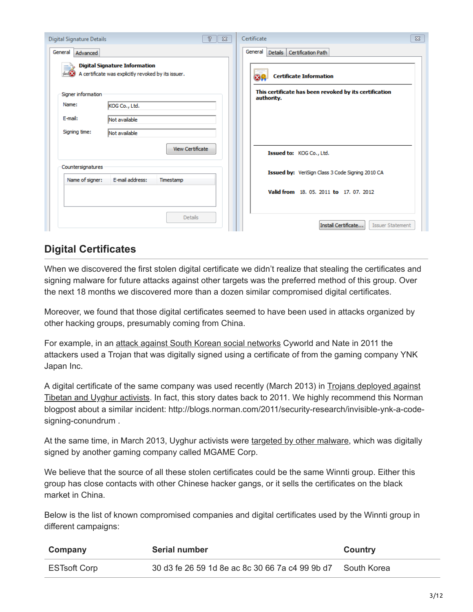| P.<br>$\Sigma$<br>Digital Signature Details                                                 | $\Sigma$<br>Certificate                                              |
|---------------------------------------------------------------------------------------------|----------------------------------------------------------------------|
| General<br>Advanced                                                                         | General Details Certification Path                                   |
| <b>Digital Signature Information</b><br>A certificate was explicitly revoked by its issuer. | <b>Certificate Information</b>                                       |
| Signer information                                                                          | This certificate has been revoked by its certification<br>authority. |
| Name:<br>KOG Co., Ltd.                                                                      |                                                                      |
| E-mail:<br>Not available                                                                    |                                                                      |
| Signing time:<br>Not available                                                              |                                                                      |
| <b>View Certificate</b>                                                                     | Issued to: KOG Co., Ltd.                                             |
| Countersignatures                                                                           | Issued by: VeriSign Class 3 Code Signing 2010 CA                     |
| E-mail address:<br>Name of signer:<br>Timestamp                                             |                                                                      |
|                                                                                             | Valid from 18, 05, 2011 to 17, 07, 2012                              |
|                                                                                             |                                                                      |
| <b>Details</b>                                                                              | Install Certificate<br><b>Issuer Statement</b>                       |

## **Digital Certificates**

When we discovered the first stolen digital certificate we didn't realize that stealing the certificates and signing malware for future attacks against other targets was the preferred method of this group. Over the next 18 months we discovered more than a dozen similar compromised digital certificates.

Moreover, we found that those digital certificates seemed to have been used in attacks organized by other hacking groups, presumably coming from China.

For example, in an [attack against South Korean social networks](http://www.bbc.co.uk/news/technology-14323787) Cyworld and Nate in 2011 the attackers used a Trojan that was digitally signed using a certificate of from the gaming company YNK Japan Inc.

A digital certificate of the same company was used recently (March 2013) in Trojans deployed against [Tibetan and Uyghur activists. In fact, this story dates back to 2011. We highly recommend this Norman](https://securelist.com/new-uyghur-and-tibetan-themed-attacks-using-pdf-exploits/35465/) blogpost about a similar incident: http://blogs.norman.com/2011/security-research/invisible-ynk-a-codesigning-conundrum .

At the same time, in March 2013, Uyghur activists were [targeted by other malware](https://www.f-secure.com/weblog/archives/00002524.html), which was digitally signed by another gaming company called MGAME Corp.

We believe that the source of all these stolen certificates could be the same Winnti group. Either this group has close contacts with other Chinese hacker gangs, or it sells the certificates on the black market in China.

Below is the list of known compromised companies and digital certificates used by the Winnti group in different campaigns:

| Company             | Serial number                                   | Country     |
|---------------------|-------------------------------------------------|-------------|
| <b>ESTsoft Corp</b> | 30 d3 fe 26 59 1d 8e ac 8c 30 66 7a c4 99 9b d7 | South Korea |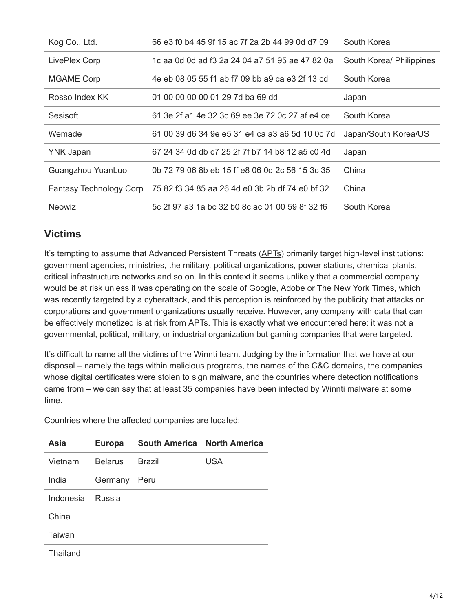| Kog Co., Ltd.           | 66 e3 f0 b4 45 9f 15 ac 7f 2a 2b 44 99 0d d7 09 | South Korea              |
|-------------------------|-------------------------------------------------|--------------------------|
| LivePlex Corp           | 1c aa 0d 0d ad f3 2a 24 04 a7 51 95 ae 47 82 0a | South Korea/ Philippines |
| <b>MGAME Corp</b>       | 4e eb 08 05 55 f1 ab f7 09 bb a9 ca e3 2f 13 cd | South Korea              |
| Rosso Index KK          | 01 00 00 00 00 01 29 7d ba 69 dd                | Japan                    |
| Sesisoft                | 61 3e 2f a1 4e 32 3c 69 ee 3e 72 0c 27 af e4 ce | South Korea              |
| Wemade                  | 61 00 39 d6 34 9e e5 31 e4 ca a3 a6 5d 10 0c 7d | Japan/South Korea/US     |
| <b>YNK Japan</b>        | 67 24 34 0d db c7 25 2f 7f b7 14 b8 12 a5 c0 4d | Japan                    |
| Guangzhou YuanLuo       | 0b 72 79 06 8b eb 15 ff e8 06 0d 2c 56 15 3c 35 | China                    |
| Fantasy Technology Corp | 75 82 f3 34 85 aa 26 4d e0 3b 2b df 74 e0 bf 32 | China                    |
| <b>Neowiz</b>           | 5c 2f 97 a3 1a bc 32 b0 8c ac 01 00 59 8f 32 f6 | South Korea              |

### **Victims**

It's tempting to assume that Advanced Persistent Threats ([APTs\)](https://en.wikipedia.org/wiki/Advanced_Persistent_Threat) primarily target high-level institutions: government agencies, ministries, the military, political organizations, power stations, chemical plants, critical infrastructure networks and so on. In this context it seems unlikely that a commercial company would be at risk unless it was operating on the scale of Google, Adobe or The New York Times, which was recently targeted by a cyberattack, and this perception is reinforced by the publicity that attacks on corporations and government organizations usually receive. However, any company with data that can be effectively monetized is at risk from APTs. This is exactly what we encountered here: it was not a governmental, political, military, or industrial organization but gaming companies that were targeted.

It's difficult to name all the victims of the Winnti team. Judging by the information that we have at our disposal – namely the tags within malicious programs, the names of the C&C domains, the companies whose digital certificates were stolen to sign malware, and the countries where detection notifications came from – we can say that at least 35 companies have been infected by Winnti malware at some time.

Countries where the affected companies are located:

| Asia      | <b>Europa</b>  | South America North America |            |
|-----------|----------------|-----------------------------|------------|
| Vietnam   | <b>Belarus</b> | <b>Brazil</b>               | <b>USA</b> |
| India     | Germany        | Peru                        |            |
| Indonesia | <b>Russia</b>  |                             |            |
| China     |                |                             |            |
| Taiwan    |                |                             |            |
| Thailand  |                |                             |            |
|           |                |                             |            |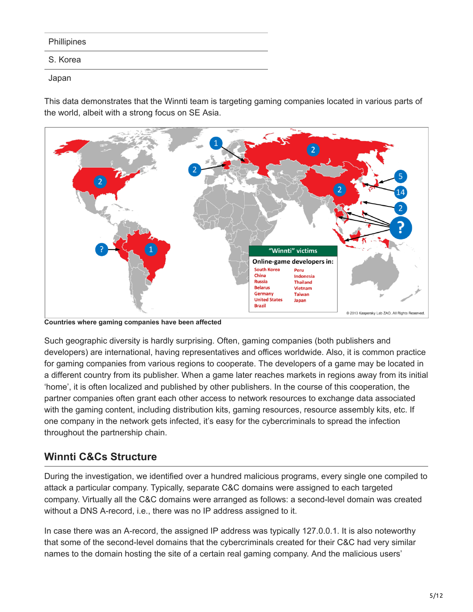| <b>Phillipines</b> |
|--------------------|
|                    |
|                    |

S. Korea

#### Japan

This data demonstrates that the Winnti team is targeting gaming companies located in various parts of the world, albeit with a strong focus on SE Asia.



**Countries where gaming companies have been affected**

Such geographic diversity is hardly surprising. Often, gaming companies (both publishers and developers) are international, having representatives and offices worldwide. Also, it is common practice for gaming companies from various regions to cooperate. The developers of a game may be located in a different country from its publisher. When a game later reaches markets in regions away from its initial 'home', it is often localized and published by other publishers. In the course of this cooperation, the partner companies often grant each other access to network resources to exchange data associated with the gaming content, including distribution kits, gaming resources, resource assembly kits, etc. If one company in the network gets infected, it's easy for the cybercriminals to spread the infection throughout the partnership chain.

# **Winnti C&Cs Structure**

During the investigation, we identified over a hundred malicious programs, every single one compiled to attack a particular company. Typically, separate C&C domains were assigned to each targeted company. Virtually all the C&C domains were arranged as follows: a second-level domain was created without a DNS A-record, i.e., there was no IP address assigned to it.

In case there was an A-record, the assigned IP address was typically 127.0.0.1. It is also noteworthy that some of the second-level domains that the cybercriminals created for their C&C had very similar names to the domain hosting the site of a certain real gaming company. And the malicious users'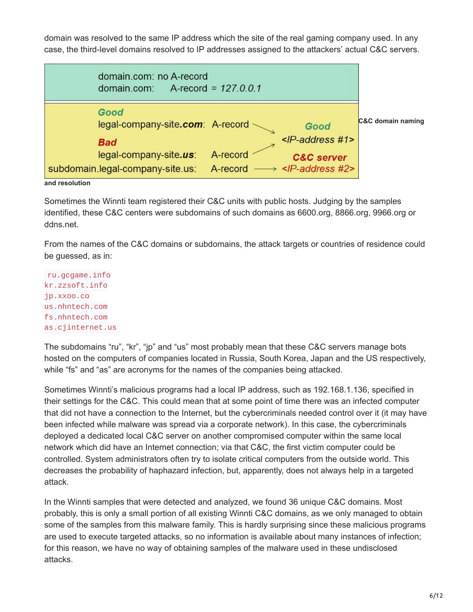domain was resolved to the same IP address which the site of the real gaming company used. In any case, the third-level domains resolved to IP addresses assigned to the attackers' actual C&C servers.



Sometimes the Winnti team registered their C&C units with public hosts. Judging by the samples identified, these C&C centers were subdomains of such domains as 6600.org, 8866.org, 9966.org or ddns.net.

From the names of the C&C domains or subdomains, the attack targets or countries of residence could be guessed, as in:

ru.gcgame.info kr.zzsoft.info jp.xxoo.co us.nhntech.com fs.nhntech.com as.cjinternet.us

The subdomains "ru", "kr", "jp" and "us" most probably mean that these C&C servers manage bots hosted on the computers of companies located in Russia, South Korea, Japan and the US respectively, while "fs" and "as" are acronyms for the names of the companies being attacked.

Sometimes Winnti's malicious programs had a local IP address, such as 192.168.1.136, specified in their settings for the C&C. This could mean that at some point of time there was an infected computer that did not have a connection to the Internet, but the cybercriminals needed control over it (it may have been infected while malware was spread via a corporate network). In this case, the cybercriminals deployed a dedicated local C&C server on another compromised computer within the same local network which did have an Internet connection; via that C&C, the first victim computer could be controlled. System administrators often try to isolate critical computers from the outside world. This decreases the probability of haphazard infection, but, apparently, does not always help in a targeted attack.

In the Winnti samples that were detected and analyzed, we found 36 unique C&C domains. Most probably, this is only a small portion of all existing Winnti C&C domains, as we only managed to obtain some of the samples from this malware family. This is hardly surprising since these malicious programs are used to execute targeted attacks, so no information is available about many instances of infection; for this reason, we have no way of obtaining samples of the malware used in these undisclosed attacks.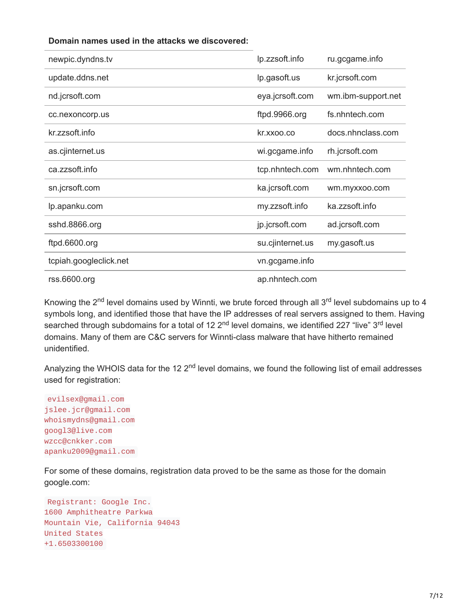#### **Domain names used in the attacks we discovered:**

| newpic.dyndns.tv       | lp.zzsoft.info   | ru.gcgame.info     |
|------------------------|------------------|--------------------|
| update.ddns.net        | lp.gasoft.us     | kr.jcrsoft.com     |
| nd.jcrsoft.com         | eya.jcrsoft.com  | wm.ibm-support.net |
| cc.nexoncorp.us        | ftpd.9966.org    | fs.nhntech.com     |
| kr.zzsoft.info         | kr.xxoo.co       | docs.nhnclass.com  |
| as.cjinternet.us       | wi.gcgame.info   | rh.jcrsoft.com     |
| ca.zzsoft.info         | tcp.nhntech.com  | wm.nhntech.com     |
| sn.jcrsoft.com         | ka.jcrsoft.com   | wm.myxxoo.com      |
| lp.apanku.com          | my.zzsoft.info   | ka.zzsoft.info     |
| sshd.8866.org          | jp.jcrsoft.com   | ad.jcrsoft.com     |
| ftpd.6600.org          | su.cjinternet.us | my.gasoft.us       |
| tcpiah.googleclick.net | vn.gcgame.info   |                    |
| rss.6600.org           | ap.nhntech.com   |                    |

Knowing the 2<sup>nd</sup> level domains used by Winnti, we brute forced through all 3<sup>rd</sup> level subdomains up to 4 symbols long, and identified those that have the IP addresses of real servers assigned to them. Having searched through subdomains for a total of 12 2<sup>nd</sup> level domains, we identified 227 "live" 3<sup>rd</sup> level domains. Many of them are C&C servers for Winnti-class malware that have hitherto remained unidentified.

Analyzing the WHOIS data for the 12 2<sup>nd</sup> level domains, we found the following list of email addresses used for registration:

evilsex@gmail.com jslee.jcr@gmail.com whoismydns@gmail.com googl3@live.com wzcc@cnkker.com apanku2009@gmail.com

For some of these domains, registration data proved to be the same as those for the domain google.com:

```
Registrant: Google Inc.
1600 Amphitheatre Parkwa
Mountain Vie, California 94043
United States
+1.6503300100
```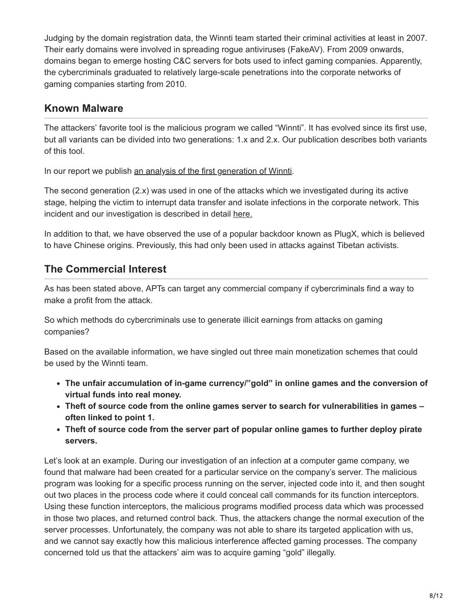Judging by the domain registration data, the Winnti team started their criminal activities at least in 2007. Their early domains were involved in spreading rogue antiviruses (FakeAV). From 2009 onwards, domains began to emerge hosting C&C servers for bots used to infect gaming companies. Apparently, the cybercriminals graduated to relatively large-scale penetrations into the corporate networks of gaming companies starting from 2010.

### **Known Malware**

The attackers' favorite tool is the malicious program we called "Winnti". It has evolved since its first use, but all variants can be divided into two generations: 1.x and 2.x. Our publication describes both variants of this tool.

In our report we publish [an analysis of the first generation of Winnti](https://securelist.com/winnti-1-0-technical-analysis/37002/).

The second generation (2.x) was used in one of the attacks which we investigated during its active stage, helping the victim to interrupt data transfer and isolate infections in the corporate network. This incident and our investigation is described in detail [here.](https://media.kasperskycontenthub.com/wp-content/uploads/sites/43/2018/03/20134508/winnti-more-than-just-a-game-130410.pdf)

In addition to that, we have observed the use of a popular backdoor known as PlugX, which is believed to have Chinese origins. Previously, this had only been used in attacks against Tibetan activists.

## **The Commercial Interest**

As has been stated above, APTs can target any commercial company if cybercriminals find a way to make a profit from the attack.

So which methods do cybercriminals use to generate illicit earnings from attacks on gaming companies?

Based on the available information, we have singled out three main monetization schemes that could be used by the Winnti team.

- **The unfair accumulation of in-game currency/"gold" in online games and the conversion of virtual funds into real money.**
- **Theft of source code from the online games server to search for vulnerabilities in games – often linked to point 1.**
- **Theft of source code from the server part of popular online games to further deploy pirate servers.**

Let's look at an example. During our investigation of an infection at a computer game company, we found that malware had been created for a particular service on the company's server. The malicious program was looking for a specific process running on the server, injected code into it, and then sought out two places in the process code where it could conceal call commands for its function interceptors. Using these function interceptors, the malicious programs modified process data which was processed in those two places, and returned control back. Thus, the attackers change the normal execution of the server processes. Unfortunately, the company was not able to share its targeted application with us, and we cannot say exactly how this malicious interference affected gaming processes. The company concerned told us that the attackers' aim was to acquire gaming "gold" illegally.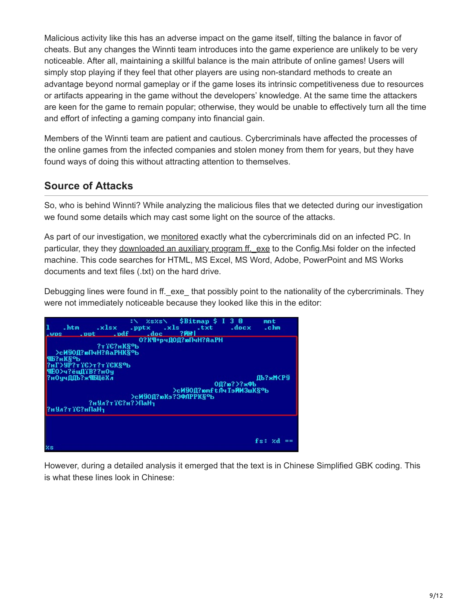Malicious activity like this has an adverse impact on the game itself, tilting the balance in favor of cheats. But any changes the Winnti team introduces into the game experience are unlikely to be very noticeable. After all, maintaining a skillful balance is the main attribute of online games! Users will simply stop playing if they feel that other players are using non-standard methods to create an advantage beyond normal gameplay or if the game loses its intrinsic competitiveness due to resources or artifacts appearing in the game without the developers' knowledge. At the same time the attackers are keen for the game to remain popular; otherwise, they would be unable to effectively turn all the time and effort of infecting a gaming company into financial gain.

Members of the Winnti team are patient and cautious. Cybercriminals have affected the processes of the online games from the infected companies and stolen money from them for years, but they have found ways of doing this without attracting attention to themselves.

## **Source of Attacks**

So, who is behind Winnti? While analyzing the malicious files that we detected during our investigation we found some details which may cast some light on the source of the attacks.

As part of our investigation, we [monitored](https://securelist.com/the-winnti-honeypot-luring-intruders/35623/) exactly what the cybercriminals did on an infected PC. In particular, they they downloaded an auxiliary program ff. exe to the Config.Msi folder on the infected machine. This code searches for HTML, MS Excel, MS Word, Adobe, PowerPoint and MS Works documents and text files (.txt) on the hard drive.

Debugging lines were found in ff. exe that possibly point to the nationality of the cybercriminals. They were not immediately noticeable because they looked like this in the editor:



However, during a detailed analysis it emerged that the text is in Chinese Simplified GBK coding. This is what these lines look in Chinese: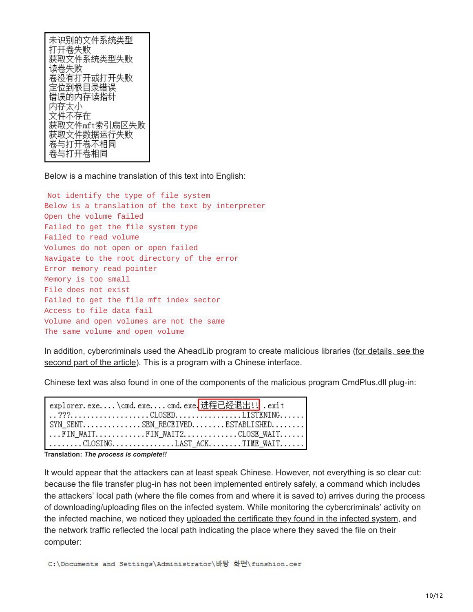未识别的文件系统类型 打开卷失败 获取文件系统类型失败 读卷失败 卷没有打开或打开失败 定位到根目录错误 错误的内存读指针 内存太小 文件不存在 获取文件mft索引扇区失败 获取文件数据运行失败 卷与打开卷不相同 卷与打开卷相同

Below is a machine translation of this text into English:

Not identify the type of file system Below is a translation of the text by interpreter Open the volume failed Failed to get the file system type Failed to read volume Volumes do not open or open failed Navigate to the root directory of the error Error memory read pointer Memory is too small File does not exist Failed to get the file mft index sector Access to file data fail Volume and open volumes are not the same The same volume and open volume

[In addition, cybercriminals used the AheadLib program to create malicious libraries \(for details, see the](https://securelist.com/winnti-1-0-technical-analysis/37002/) second part of the article). This is a program with a Chinese interface.

Chinese text was also found in one of the components of the malicious program CmdPlus.dll plug-in:

| SYN_SENT. SEN_RECEIVED. ESTABLISHED. |  |
|--------------------------------------|--|
| FIN_WAITFIN_WAIT2CLOSE_WAIT          |  |
| CLOSINGLAST_ACKTIME_WAIT             |  |

**Translation:** *The process is complete!!*

It would appear that the attackers can at least speak Chinese. However, not everything is so clear cut: because the file transfer plug-in has not been implemented entirely safely, a command which includes the attackers' local path (where the file comes from and where it is saved to) arrives during the process of downloading/uploading files on the infected system. While monitoring the cybercriminals' activity on the infected machine, we noticed they [uploaded the certificate they found in the infected system,](https://securelist.com/the-winnti-honeypot-luring-intruders/35623/#certificate) and the network traffic reflected the local path indicating the place where they saved the file on their computer:

C:\Documents and Settings\Administrator\바탕 화면\funshion.cer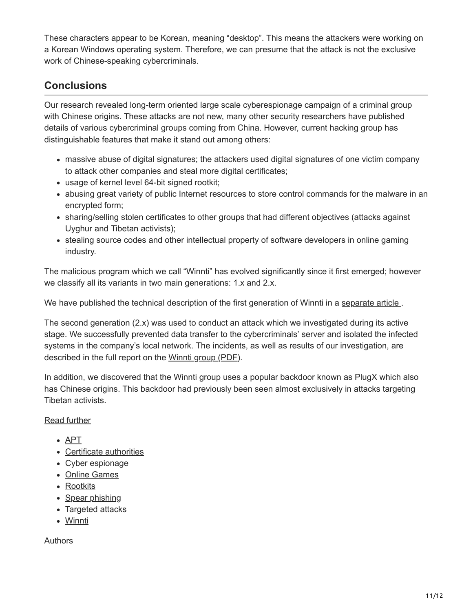These characters appear to be Korean, meaning "desktop". This means the attackers were working on a Korean Windows operating system. Therefore, we can presume that the attack is not the exclusive work of Chinese-speaking cybercriminals.

# **Conclusions**

Our research revealed long-term oriented large scale cyberespionage campaign of a criminal group with Chinese origins. These attacks are not new, many other security researchers have published details of various cybercriminal groups coming from China. However, current hacking group has distinguishable features that make it stand out among others:

- massive abuse of digital signatures; the attackers used digital signatures of one victim company to attack other companies and steal more digital certificates;
- usage of kernel level 64-bit signed rootkit;
- abusing great variety of public Internet resources to store control commands for the malware in an encrypted form;
- sharing/selling stolen certificates to other groups that had different objectives (attacks against Uyghur and Tibetan activists);
- stealing source codes and other intellectual property of software developers in online gaming industry.

The malicious program which we call "Winnti" has evolved significantly since it first emerged; however we classify all its variants in two main generations: 1.x and 2.x.

We have published the technical description of the first generation of Winnti in a separate article.

The second generation (2.x) was used to conduct an attack which we investigated during its active stage. We successfully prevented data transfer to the cybercriminals' server and isolated the infected systems in the company's local network. The incidents, as well as results of our investigation, are described in the full report on the [Winnti group \(PDF\)](https://media.kasperskycontenthub.com/wp-content/uploads/sites/43/2018/03/20134508/winnti-more-than-just-a-game-130410.pdf).

In addition, we discovered that the Winnti group uses a popular backdoor known as PlugX which also has Chinese origins. This backdoor had previously been seen almost exclusively in attacks targeting Tibetan activists.

[Read further](https://securelist.com/winnti-1-0-technical-analysis/37002/)

- [APT](https://securelist.com/tag/apt/)
- [Certificate authorities](https://securelist.com/tag/certificate-authorities/)
- [Cyber espionage](https://securelist.com/tag/cyber-espionage/)
- [Online Games](https://securelist.com/tag/online-games/)
- [Rootkits](https://securelist.com/tag/rootkits/)
- [Spear phishing](https://securelist.com/tag/spear-phishing/)
- [Targeted attacks](https://securelist.com/tag/targeted-attacks/)
- [Winnti](https://securelist.com/tag/winnti/)

**Authors**